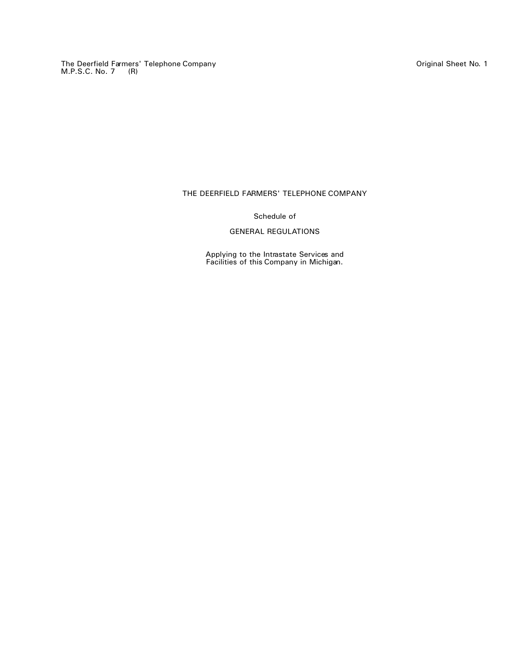The Deerfield Farmers' Telephone Company Original Sheet No. 1 M.P.S.C. No. 7 (R)

# THE DEERFIELD FARMERS' TELEPHONE COMPANY

## Schedule of

# GENERAL REGULATIONS

Applying to the Intrastate Services and Facilities of this Company in Michigan.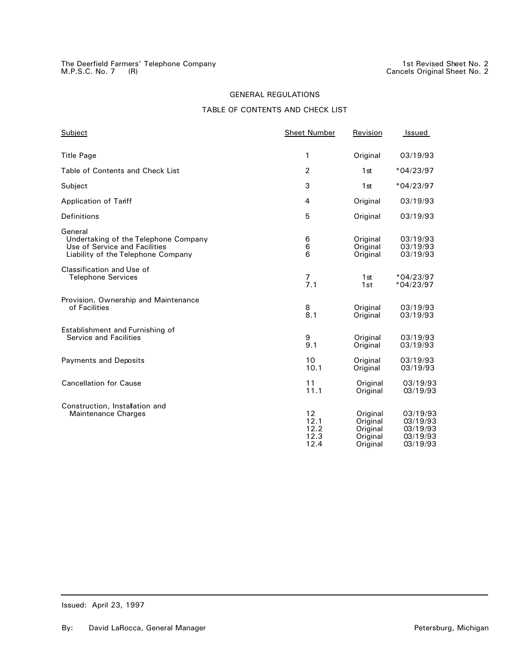# TABLE OF CONTENTS AND CHECK LIST

| Subject                                                                                                                | <b>Sheet Number</b>                | Revision                                                 | Issued                                                   |
|------------------------------------------------------------------------------------------------------------------------|------------------------------------|----------------------------------------------------------|----------------------------------------------------------|
| <b>Title Page</b>                                                                                                      | 1                                  | Original                                                 | 03/19/93                                                 |
| Table of Contents and Check List                                                                                       | 2                                  | 1 <sub>st</sub>                                          | $*04/23/97$                                              |
| Subject                                                                                                                | 3                                  | 1st                                                      | $*04/23/97$                                              |
| <b>Application of Tariff</b>                                                                                           | 4                                  | Original                                                 | 03/19/93                                                 |
| <b>Definitions</b>                                                                                                     | 5                                  | Original                                                 | 03/19/93                                                 |
| General<br>Undertaking of the Telephone Company<br>Use of Service and Facilities<br>Liability of the Telephone Company | 6<br>6<br>6                        | Original<br>Original<br>Original                         | 03/19/93<br>03/19/93<br>03/19/93                         |
| Classification and Use of<br><b>Telephone Services</b>                                                                 | 7<br>7.1                           | 1st<br>1st                                               | $*04/23/97$<br>$*04/23/97$                               |
| Provision, Ownership and Maintenance<br>of Facilities                                                                  | 8<br>8.1                           | Original<br>Original                                     | 03/19/93<br>03/19/93                                     |
| Establishment and Furnishing of<br><b>Service and Facilities</b>                                                       | 9<br>9.1                           | Original<br>Original                                     | 03/19/93<br>03/19/93                                     |
| <b>Payments and Deposits</b>                                                                                           | 10<br>10.1                         | Original<br>Original                                     | 03/19/93<br>03/19/93                                     |
| <b>Cancellation for Cause</b>                                                                                          | 11<br>11.1                         | Original<br>Original                                     | 03/19/93<br>03/19/93                                     |
| Construction, Installation and<br>Maintenance Charges                                                                  | 12<br>12.1<br>12.2<br>12.3<br>12.4 | Original<br>Original<br>Original<br>Original<br>Original | 03/19/93<br>03/19/93<br>03/19/93<br>03/19/93<br>03/19/93 |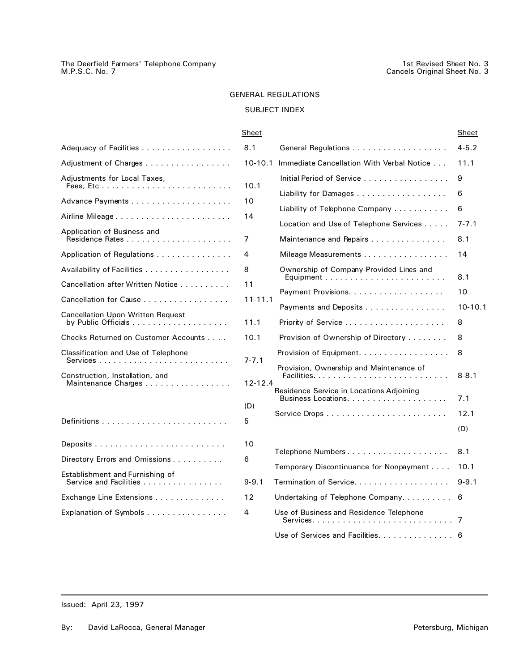# SUBJECT INDEX

| Adequacy of Facilities                                    | 8.1            | General Regulations                                                                                        |  |
|-----------------------------------------------------------|----------------|------------------------------------------------------------------------------------------------------------|--|
| Adjustment of Charges                                     | 10-10.1        | Immediate Cancellation With Verbal Notice                                                                  |  |
| Adjustments for Local Taxes,                              | 10.1           | Initial Period of Service<br>Liability for Damages                                                         |  |
|                                                           | 10             |                                                                                                            |  |
| Airline Mileage                                           | 14             | Liability of Telephone Company                                                                             |  |
| Application of Business and                               | $\overline{7}$ | Location and Use of Telephone Services<br>Maintenance and Repairs                                          |  |
| Application of Regulations                                | 4              | Mileage Measurements                                                                                       |  |
| Availability of Facilities                                | 8              | Ownership of Company-Provided Lines and                                                                    |  |
| Cancellation after Written Notice                         | 11             | Payment Provisions.                                                                                        |  |
| Cancellation for Cause                                    | $11 - 11.1$    | Payments and Deposits                                                                                      |  |
| <b>Cancellation Upon Written Request</b>                  | 11.1           | Priority of Service                                                                                        |  |
| Checks Returned on Customer Accounts                      | 10.1           | Provision of Ownership of Directory                                                                        |  |
| Classification and Use of Telephone                       | $7 - 7.1$      | Provision of Equipment.                                                                                    |  |
| Construction, Installation, and<br>Maintenance Charges    | 12-12.4        | Provision, Ownership and Maintenance of<br>Residence Service in Locations Adjoining<br>Business Locations. |  |
|                                                           | (D)            |                                                                                                            |  |
|                                                           | 5              |                                                                                                            |  |
|                                                           | 10             | Telephone Numbers                                                                                          |  |
| Directory Errors and Omissions                            | 6              | Temporary Discontinuance for Nonpayment                                                                    |  |
| Establishment and Furnishing of<br>Service and Facilities | $9 - 9.1$      | Termination of Service.                                                                                    |  |
| Exchange Line Extensions                                  | 12             | Undertaking of Telephone Company.                                                                          |  |
| Explanation of Symbols                                    | 4              | Use of Business and Residence Telephone<br>Sorvices                                                        |  |

|                                                           | Sheet       |                                                                   | Sheet          |
|-----------------------------------------------------------|-------------|-------------------------------------------------------------------|----------------|
| Adequacy of Facilities                                    | 8.1         |                                                                   | $4 - 5.2$      |
| Adjustment of Charges                                     | $10-10.1$   | Immediate Cancellation With Verbal Notice                         | 11.1           |
| Adjustments for Local Taxes,<br>Fees. Etc                 | 10.1        | Initial Period of Service<br>Liability for Damages                | 9<br>6         |
|                                                           | 10          | Liability of Telephone Company $\ldots \ldots \ldots$             | 6              |
|                                                           | 14          | Location and Use of Telephone Services                            | $7 - 7.1$      |
| Application of Business and                               | 7           | Maintenance and Repairs                                           | 8.1            |
| Application of Regulations                                | 4           | Mileage Measurements                                              | 14             |
| Availability of Facilities                                | 8           | Ownership of Company-Provided Lines and                           |                |
| Cancellation after Written Notice                         | 11          |                                                                   | 8.1            |
| Cancellation for Cause                                    | $11 - 11.1$ |                                                                   | 10             |
| <b>Cancellation Upon Written Request</b>                  | 11.1        | Payments and Deposits<br>Priority of Service                      | $10-10.1$<br>8 |
| Checks Returned on Customer Accounts                      | 10.1        | Provision of Ownership of Directory                               | 8              |
| Classification and Use of Telephone                       | $7 - 7.1$   | Provision of Equipment                                            | 8              |
| Construction, Installation, and<br>Maintenance Charges    | $12 - 12.4$ | Provision, Ownership and Maintenance of                           | $8 - 8.1$      |
|                                                           | (D)         | Residence Service in Locations Adjoining<br>Business Locations    | 7.1            |
|                                                           | 5           |                                                                   | 12.1           |
|                                                           |             |                                                                   | (D)            |
|                                                           | 10          | Telephone Numbers                                                 | 8.1            |
| Directory Errors and Omissions                            | 6           |                                                                   | 10.1           |
| Establishment and Furnishing of<br>Service and Facilities | $9 - 9.1$   | Temporary Discontinuance for Nonpayment<br>Termination of Service | $9 - 9.1$      |
| Exchange Line Extensions                                  | 12          | Undertaking of Telephone Company.                                 | 6              |
| Explanation of Symbols                                    | 4           | Use of Business and Residence Telephone                           |                |
|                                                           |             | Use of Services and Facilities. 6                                 |                |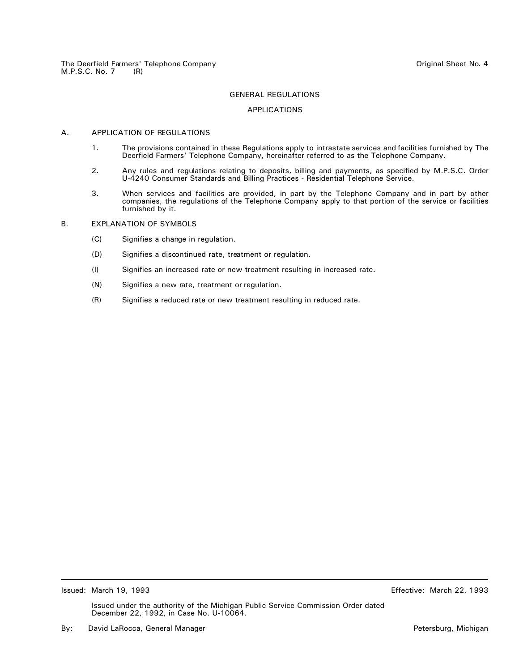#### APPLICATIONS

## A. APPLICATION OF REGULATIONS

- 1. The provisions contained in these Regulations apply to intrastate services and facilities furnished by The Deerfield Farmers' Telephone Company, hereinafter referred to as the Telephone Company.
- 2. Any rules and regulations relating to deposits, billing and payments, as specified by M.P.S.C. Order U-4240 Consumer Standards and Billing Practices - Residential Telephone Service.
- 3. When services and facilities are provided, in part by the Telephone Company and in part by other companies, the regulations of the Telephone Company apply to that portion of the service or facilities furnished by it.

## B. EXPLANATION OF SYMBOLS

- (C) Signifies a change in regulation.
- (D) Signifies a discontinued rate, treatment or regulation.
- (I) Signifies an increased rate or new treatment resulting in increased rate.
- (N) Signifies a new rate, treatment or regulation.
- (R) Signifies a reduced rate or new treatment resulting in reduced rate.

Issued: March 19, 1993 Effective: March 22, 1993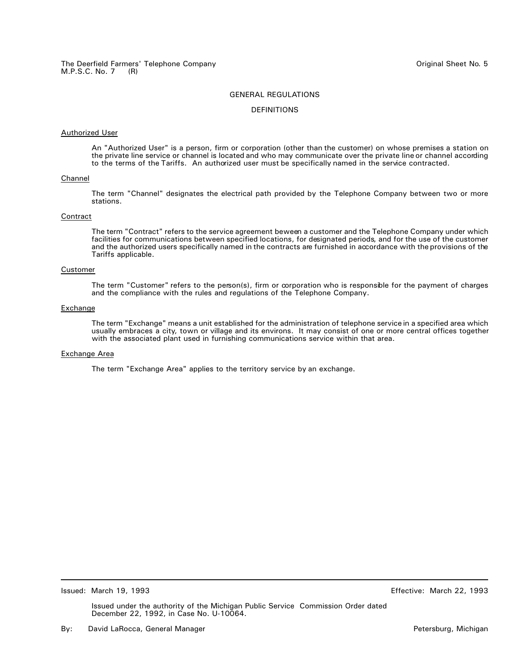#### DEFINITIONS

#### Authorized User

An "Authorized User" is a person, firm or corporation (other than the customer) on whose premises a station on the private line service or channel is located and who may communicate over the private line or channel according to the terms of the Tariffs. An authorized user must be specifically named in the service contracted.

#### Channel

The term "Channel" designates the electrical path provided by the Telephone Company between two or more stations.

#### Contract

The term "Contract" refers to the service agreement beween a customer and the Telephone Company under which facilities for communications between specified locations, for designated periods, and for the use of the customer and the authorized users specifically named in the contracts are furnished in accordance with the provisions of the Tariffs applicable.

## Customer

The term "Customer" refers to the person(s), firm or corporation who is responsible for the payment of charges and the compliance with the rules and regulations of the Telephone Company.

#### **Exchange**

The term "Exchange" means a unit established for the administration of telephone service in a specified area which usually embraces a city, town or village and its environs. It may consist of one or more central offices together with the associated plant used in furnishing communications service within that area.

## Exchange Area

The term "Exchange Area" applies to the territory service by an exchange.

Issued: March 19, 1993 Effective: March 22, 1993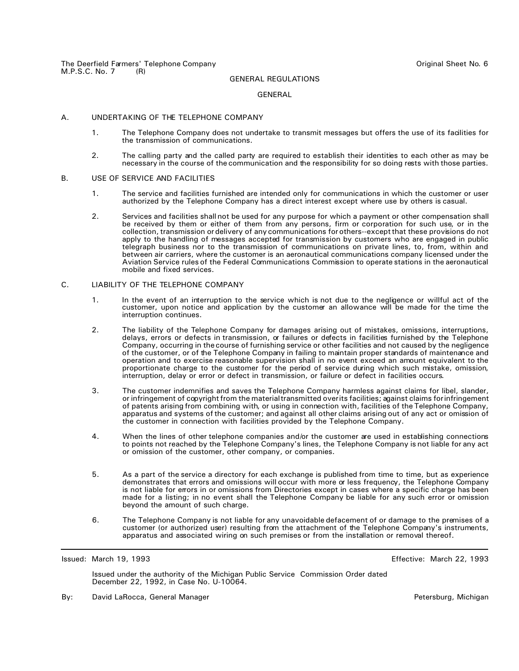#### GENERAL

#### A. UNDERTAKING OF THE TELEPHONE COMPANY

- 1. The Telephone Company does not undertake to transmit messages but offers the use of its facilities for the transmission of communications.
- 2. The calling party and the called party are required to establish their identities to each other as may be necessary in the course of the communication and the responsibility for so doing rests with those parties.

#### B. USE OF SERVICE AND FACILITIES

- 1. The service and facilities furnished are intended only for communications in which the customer or user authorized by the Telephone Company has a direct interest except where use by others is casual.
- 2. Services and facilities shall not be used for any purpose for which a payment or other compensation shall be received by them or either of them from any persons, firm or corporation for such use, or in the collection, transmission or delivery of any communications for others--except that these provisions do not apply to the handling of messages accepted for transmission by customers who are engaged in public telegraph business nor to the transmission of communications on private lines, to, from, within and between air carriers, where the customer is an aeronautical communications company licensed under the Aviation Service rules of the Federal Communications Commission to operate stations in the aeronautical mobile and fixed services.

## C. LIABILITY OF THE TELEPHONE COMPANY

- 1. In the event of an interruption to the service which is not due to the negligence or willful act of the customer, upon notice and application by the customer an allowance will be made for the time the interruption continues.
- 2. The liability of the Telephone Company for damages arising out of mistakes, omissions, interruptions, delays, errors or defects in transmission, or failures or defects in facilities furnished by the Telephone Company, occurring in the course of furnishing service or other facilities and not caused by the negligence of the customer, or of the Telephone Company in failing to maintain proper standards of maintenance and operation and to exercise reasonable supervision shall in no event exceed an amount equivalent to the proportionate charge to the customer for the period of service during which such mistake, omission, interruption, delay or error or defect in transmission, or failure or defect in facilities occurs.
- 3. The customer indemnifies and saves the Telephone Company harmless against claims for libel, slander, or infringement of copyright from the material transmitted over its facilities; against claims for infringement of patents arising from combining with, or using in connection with, facilities of the Telephone Company, apparatus and systems of the customer; and against all other claims arising out of any act or omission of the customer in connection with facilities provided by the Telephone Company.
- 4. When the lines of other telephone companies and/or the customer are used in establishing connections to points not reached by the Telephone Company's lines, the Telephone Company is not liable for any act or omission of the customer, other company, or companies.
- 5. As a part of the service a directory for each exchange is published from time to time, but as experience demonstrates that errors and omissions will occur with more or less frequency, the Telephone Company is not liable for errors in or omissions from Directories except in cases where a specific charge has been made for a listing; in no event shall the Telephone Company be liable for any such error or omission beyond the amount of such charge.
- 6. The Telephone Company is not liable for any unavoidable defacement of or damage to the premises of a customer (or authorized user) resulting from the attachment of the Telephone Company's instruments, apparatus and associated wiring on such premises or from the installation or removal thereof.

Issued: March 19, 1993 Effective: March 22, 1993

Issued under the authority of the Michigan Public Service Commission Order dated December 22, 1992, in Case No. U-10064.

By: David LaRocca, General Manager **Petersburg, Petersburg, Michigan** Petersburg, Michigan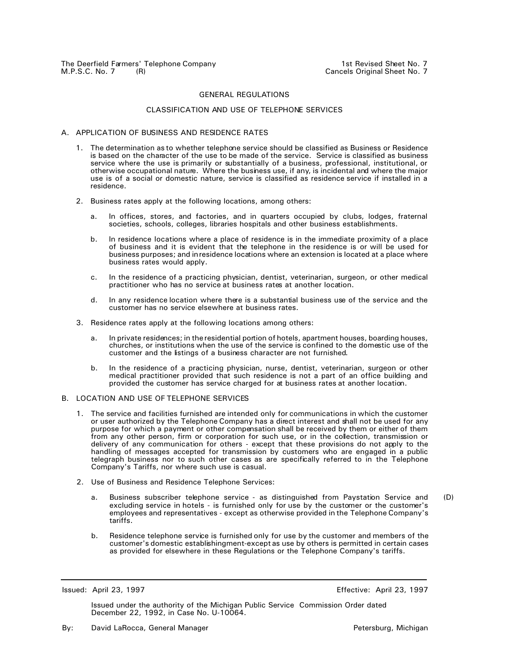#### CLASSIFICATION AND USE OF TELEPHONE SERVICES

#### A. APPLICATION OF BUSINESS AND RESIDENCE RATES

- 1. The determination as to whether telephone service should be classified as Business or Residence is based on the character of the use to be made of the service. Service is classified as business service where the use is primarily or substantially of a business, professional, institutional, or otherwise occupational nature. Where the business use, if any, is incidental and where the major use is of a social or domestic nature, service is classified as residence service if installed in a residence.
- 2. Business rates apply at the following locations, among others:
	- a. In offices, stores, and factories, and in quarters occupied by clubs, lodges, fraternal societies, schools, colleges, libraries hospitals and other business establishments.
	- b. In residence locations where a place of residence is in the immediate proximity of a place of business and it is evident that the telephone in the residence is or will be used for business purposes; and in residence locations where an extension is located at a place where business rates would apply.
	- c. In the residence of a practicing physician, dentist, veterinarian, surgeon, or other medical practitioner who has no service at business rates at another location.
	- d. In any residence location where there is a substantial business use of the service and the customer has no service elsewhere at business rates.
- 3. Residence rates apply at the following locations among others:
	- a. In private residences; in the residential portion of hotels, apartment houses, boarding houses, churches, or institutions when the use of the service is confined to the domestic use of the customer and the listings of a business character are not furnished.
	- b. In the residence of a practicing physician, nurse, dentist, veterinarian, surgeon or other medical practitioner provided that such residence is not a part of an office building and provided the customer has service charged for at business rates at another location.
- B. LOCATION AND USE OF TELEPHONE SERVICES
	- 1. The service and facilities furnished are intended only for communications in which the customer or user authorized by the Telephone Company has a direct interest and shall not be used for any purpose for which a payment or other compensation shall be received by them or either of them from any other person, firm or corporation for such use, or in the collection, transmission or delivery of any communication for others - except that these provisions do not apply to the handling of messages accepted for transmission by customers who are engaged in a public telegraph business nor to such other cases as are specifically referred to in the Telephone Company's Tariffs, nor where such use is casual.
	- 2. Use of Business and Residence Telephone Services:
		- a. Business subscriber telephone service as distinguished from Paystation Service and excluding service in hotels - is furnished only for use by the customer or the customer's employees and representatives - except as otherwise provided in the Telephone Company's tariffs. (D)
		- b. Residence telephone service is furnished only for use by the customer and members of the customer's domestic establishingment-except as use by others is permitted in certain cases as provided for elsewhere in these Regulations or the Telephone Company's tariffs.

Issued: April 23, 1997 Effective: April 23, 1997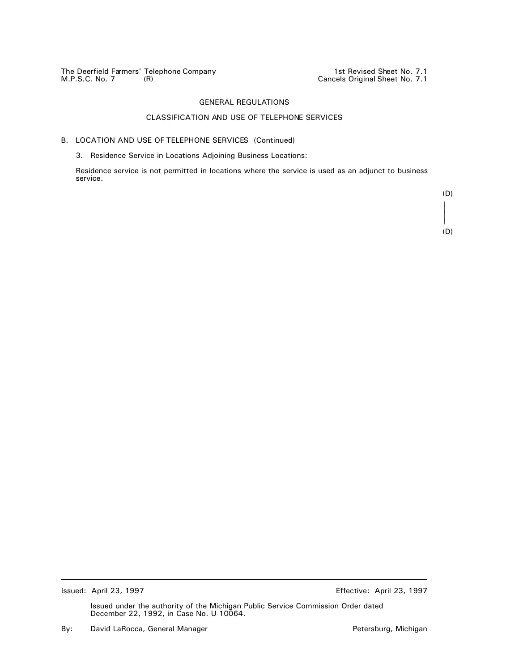The Deerfield Farmers' Telephone Company 1st Revised Sheet No. 7.1 M.P.S.C. No. 7 (R) Cancels Original Sheet No. 7.1

# GENERAL REGULATIONS

# CLASSIFICATION AND USE OF TELEPHONE SERVICES

## B. LOCATION AND USE OF TELEPHONE SERVICES (Continued)

3. Residence Service in Locations Adjoining Business Locations:

Residence service is not permitted in locations where the service is used as an adjunct to business service.

> (D) T  $\overline{a}$  $\overline{a}$ R (D)

Issued: April 23, 1997 Effective: April 23, 1997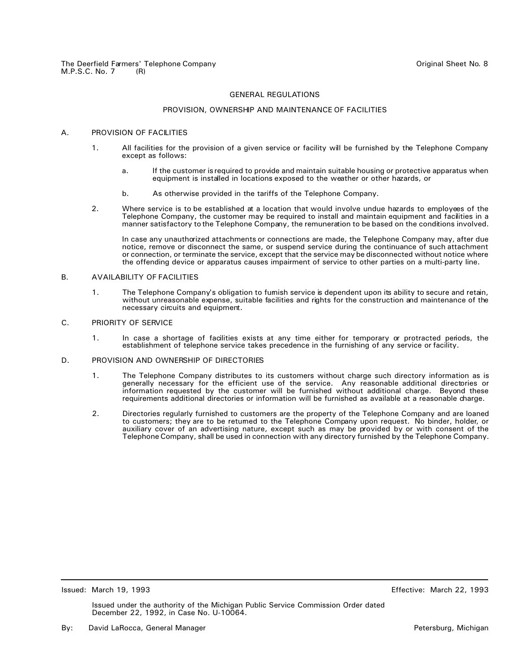#### PROVISION, OWNERSHIP AND MAINTENANCE OF FACILITIES

## A. PROVISION OF FACILITIES

- 1. All facilities for the provision of a given service or facility will be furnished by the Telephone Company except as follows:
	- a. If the customer is required to provide and maintain suitable housing or protective apparatus when equipment is installed in locations exposed to the weather or other hazards, or
	- b. As otherwise provided in the tariffs of the Telephone Company.
- 2. Where service is to be established at a location that would involve undue hazards to employees of the Telephone Company, the customer may be required to install and maintain equipment and facilities in a manner satisfactory to the Telephone Company, the remuneration to be based on the conditions involved.

In case any unauthorized attachments or connections are made, the Telephone Company may, after due notice, remove or disconnect the same, or suspend service during the continuance of such attachment or connection, or terminate the service, except that the service may be disconnected without notice where the offending device or apparatus causes impairment of service to other parties on a multi-party line.

#### B. AVAILABILITY OF FACILITIES

1. The Telephone Company's obligation to furnish service is dependent upon its ability to secure and retain, without unreasonable expense, suitable facilities and rights for the construction and maintenance of the necessary circuits and equipment.

## C. PRIORITY OF SERVICE

1. In case a shortage of facilities exists at any time either for temporary or protracted periods, the establishment of telephone service takes precedence in the furnishing of any service or facility.

#### D. PROVISION AND OWNERSHIP OF DIRECTORIES

- 1. The Telephone Company distributes to its customers without charge such directory information as is generally necessary for the efficient use of the service. Any reasonable additional directories or information requested by the customer will be furnished without additional charge. Beyond these requirements additional directories or information will be furnished as available at a reasonable charge.
- 2. Directories regularly furnished to customers are the property of the Telephone Company and are loaned to customers; they are to be returned to the Telephone Company upon request. No binder, holder, or auxiliary cover of an advertising nature, except such as may be provided by or with consent of the Telephone Company, shall be used in connection with any directory furnished by the Telephone Company.

Issued: March 19, 1993 Effective: March 22, 1993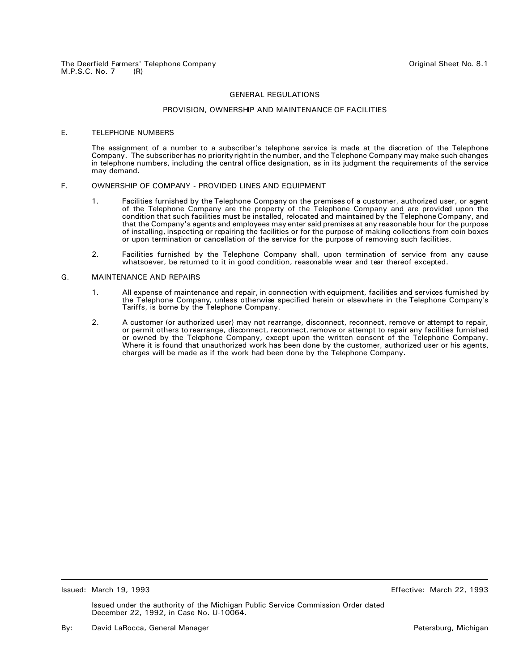#### PROVISION, OWNERSHIP AND MAINTENANCE OF FACILITIES

#### E. TELEPHONE NUMBERS

The assignment of a number to a subscriber's telephone service is made at the discretion of the Telephone Company. The subscriber has no priority right in the number, and the Telephone Company may make such changes in telephone numbers, including the central office designation, as in its judgment the requirements of the service may demand.

## F. OWNERSHIP OF COMPANY - PROVIDED LINES AND EQUIPMENT

- 1. Facilities furnished by the Telephone Company on the premises of a customer, authorized user, or agent of the Telephone Company are the property of the Telephone Company and are provided upon the condition that such facilities must be installed, relocated and maintained by the Telephone Company, and that the Company's agents and employees may enter said premises at any reasonable hour for the purpose of installing, inspecting or repairing the facilities or for the purpose of making collections from coin boxes or upon termination or cancellation of the service for the purpose of removing such facilities.
- 2. Facilities furnished by the Telephone Company shall, upon termination of service from any cause whatsoever, be returned to it in good condition, reasonable wear and tear thereof excepted.

#### G. MAINTENANCE AND REPAIRS

- 1. All expense of maintenance and repair, in connection with equipment, facilities and services furnished by the Telephone Company, unless otherwise specified herein or elsewhere in the Telephone Company's Tariffs, is borne by the Telephone Company.
- 2. A customer (or authorized user) may not rearrange, disconnect, reconnect, remove or attempt to repair, or permit others to rearrange, disconnect, reconnect, remove or attempt to repair any facilities furnished or owned by the Telephone Company, except upon the written consent of the Telephone Company. Where it is found that unauthorized work has been done by the customer, authorized user or his agents, charges will be made as if the work had been done by the Telephone Company.

Issued: March 19, 1993 Effective: March 22, 1993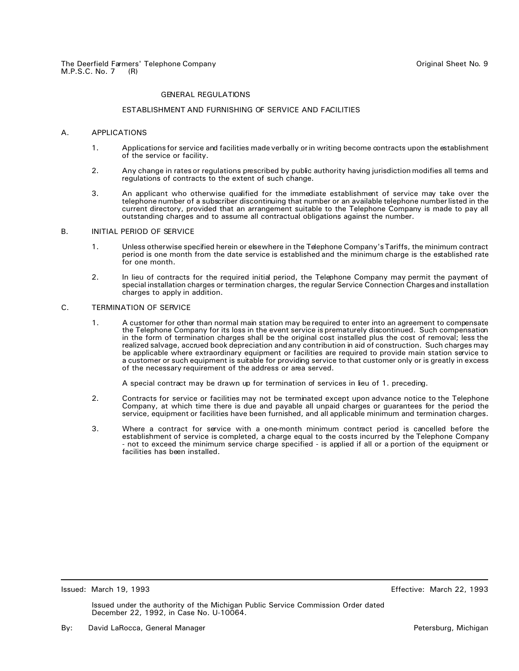#### ESTABLISHMENT AND FURNISHING OF SERVICE AND FACILITIES

#### A. APPLICATIONS

- 1. Applications for service and facilities made verbally or in writing become contracts upon the establishment of the service or facility.
- 2. Any change in rates or regulations prescribed by public authority having jurisdiction modifies all terms and regulations of contracts to the extent of such change.
- 3. An applicant who otherwise qualified for the immediate establishment of service may take over the telephone number of a subscriber discontinuing that number or an available telephone number listed in the current directory, provided that an arrangement suitable to the Telephone Company is made to pay all outstanding charges and to assume all contractual obligations against the number.

#### B. INITIAL PERIOD OF SERVICE

- 1. Unless otherwise specified herein or elsewhere in the Telephone Company's Tariffs, the minimum contract period is one month from the date service is established and the minimum charge is the established rate for one month.
- 2. In lieu of contracts for the required initial period, the Telephone Company may permit the payment of special installation charges or termination charges, the regular Service Connection Charges and installation charges to apply in addition.

## C. TERMINATION OF SERVICE

1. A customer for other than normal main station may be required to enter into an agreement to compensate the Telephone Company for its loss in the event service is prematurely discontinued. Such compensation in the form of termination charges shall be the original cost installed plus the cost of removal; less the realized salvage, accrued book depreciation and any contribution in aid of construction. Such charges may be applicable where extraordinary equipment or facilities are required to provide main station service to a customer or such equipment is suitable for providing service to that customer only or is greatly in excess of the necessary requirement of the address or area served.

A special contract may be drawn up for termination of services in lieu of 1. preceding.

- 2. Contracts for service or facilities may not be terminated except upon advance notice to the Telephone Company, at which time there is due and payable all unpaid charges or guarantees for the period the service, equipment or facilities have been furnished, and all applicable minimum and termination charges.
- 3. Where a contract for service with a one-month minimum contract period is cancelled before the establishment of service is completed, a charge equal to the costs incurred by the Telephone Company not to exceed the minimum service charge specified - is applied if all or a portion of the equipment or facilities has been installed.

Issued: March 19, 1993 Effective: March 22, 1993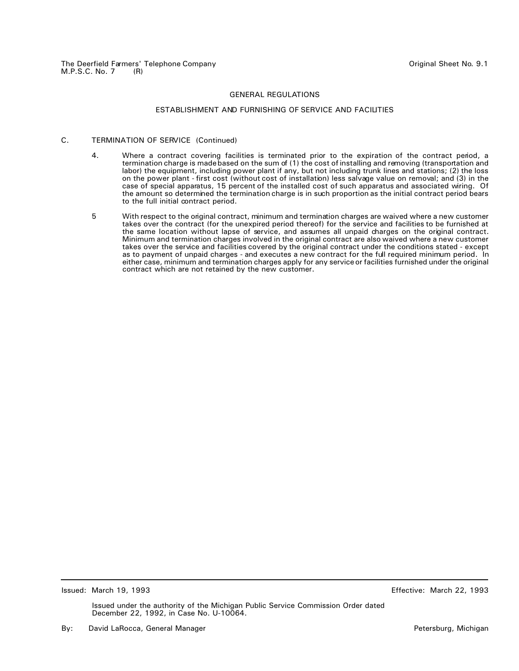## ESTABLISHMENT AND FURNISHING OF SERVICE AND FACILITIES

## C. TERMINATION OF SERVICE (Continued)

- 4. Where a contract covering facilities is terminated prior to the expiration of the contract period, a termination charge is made based on the sum of (1) the cost of installing and removing (transportation and labor) the equipment, including power plant if any, but not including trunk lines and stations; (2) the loss on the power plant - first cost (without cost of installation) less salvage value on removal; and (3) in the case of special apparatus, 15 percent of the installed cost of such apparatus and associated wiring. Of the amount so determined the termination charge is in such proportion as the initial contract period bears to the full initial contract period.
- 5 With respect to the original contract, minimum and termination charges are waived where a new customer takes over the contract (for the unexpired period thereof) for the service and facilities to be furnished at the same location without lapse of service, and assumes all unpaid charges on the original contract. Minimum and termination charges involved in the original contract are also waived where a new customer takes over the service and facilities covered by the original contract under the conditions stated - except as to payment of unpaid charges - and executes a new contract for the full required minimum period. In either case, minimum and termination charges apply for any service or facilities furnished under the original contract which are not retained by the new customer.

Issued: March 19, 1993 Effective: March 22, 1993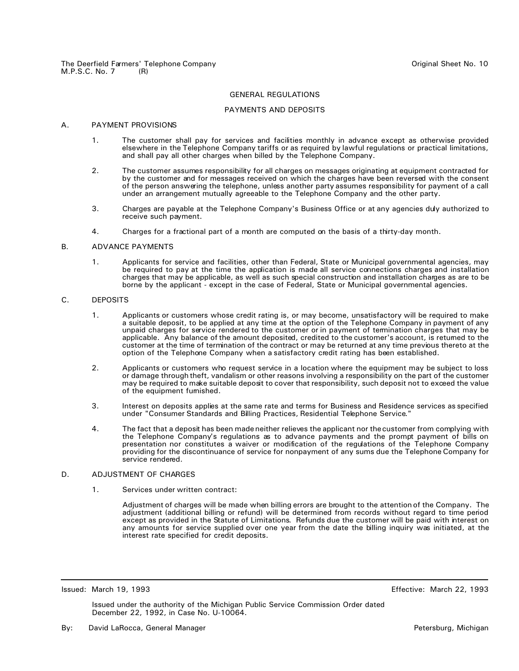#### PAYMENTS AND DEPOSITS

#### A. PAYMENT PROVISIONS

- 1. The customer shall pay for services and facilities monthly in advance except as otherwise provided elsewhere in the Telephone Company tariffs or as required by lawful regulations or practical limitations, and shall pay all other charges when billed by the Telephone Company.
- 2. The customer assumes responsibility for all charges on messages originating at equipment contracted for by the customer and for messages received on which the charges have been reversed with the consent of the person answering the telephone, unless another party assumes responsibility for payment of a call under an arrangement mutually agreeable to the Telephone Company and the other party.
- 3. Charges are payable at the Telephone Company's Business Office or at any agencies duly authorized to receive such payment.
- 4. Charges for a fractional part of a month are computed on the basis of a thirty-day month.

#### B. ADVANCE PAYMENTS

1. Applicants for service and facilities, other than Federal, State or Municipal governmental agencies, may be required to pay at the time the application is made all service connections charges and installation charges that may be applicable, as well as such special construction and installation charges as are to be borne by the applicant - except in the case of Federal, State or Municipal governmental agencies.

#### C. DEPOSITS

- 1. Applicants or customers whose credit rating is, or may become, unsatisfactory will be required to make a suitable deposit, to be applied at any time at the option of the Telephone Company in payment of any unpaid charges for service rendered to the customer or in payment of termination charges that may be applicable. Any balance of the amount deposited, credited to the customer's account, is returned to the customer at the time of termination of the contract or may be returned at any time previous thereto at the option of the Telephone Company when a satisfactory credit rating has been established.
- 2. Applicants or customers who request service in a location where the equipment may be subject to loss or damage through theft, vandalism or other reasons involving a responsibility on the part of the customer may be required to make suitable deposit to cover that responsibility, such deposit not to exceed the value of the equipment furnished.
- 3. Interest on deposits applies at the same rate and terms for Business and Residence services as specified under "Consumer Standards and Billing Practices, Residential Telephone Service."
- 4. The fact that a deposit has been made neither relieves the applicant nor the customer from complying with the Telephone Company's regulations as to advance payments and the prompt payment of bills on presentation nor constitutes a waiver or modification of the regulations of the Telephone Company providing for the discontinuance of service for nonpayment of any sums due the Telephone Company for service rendered.

## D. ADJUSTMENT OF CHARGES

1. Services under written contract:

Adjustment of charges will be made when billing errors are brought to the attention of the Company. The adjustment (additional billing or refund) will be determined from records without regard to time period except as provided in the Statute of Limitations. Refunds due the customer will be paid with interest on any amounts for service supplied over one year from the date the billing inquiry was initiated, at the interest rate specified for credit deposits.

Issued: March 19, 1993 Effective: March 22, 1993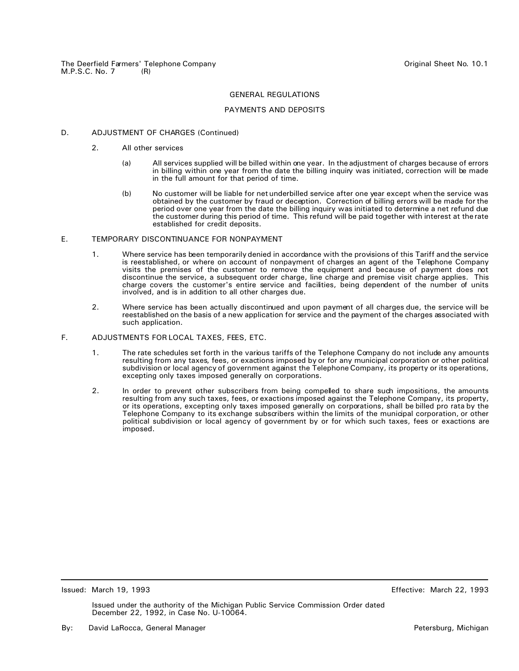## PAYMENTS AND DEPOSITS

## D. ADJUSTMENT OF CHARGES (Continued)

- 2. All other services
	- (a) All services supplied will be billed within one year. In the adjustment of charges because of errors in billing within one year from the date the billing inquiry was initiated, correction will be made in the full amount for that period of time.
	- (b) No customer will be liable for net underbilled service after one year except when the service was obtained by the customer by fraud or deception. Correction of billing errors will be made for the period over one year from the date the billing inquiry was initiated to determine a net refund due the customer during this period of time. This refund will be paid together with interest at the rate established for credit deposits.

## E. TEMPORARY DISCONTINUANCE FOR NONPAYMENT

- 1. Where service has been temporarily denied in accordance with the provisions of this Tariff and the service is reestablished, or where on account of nonpayment of charges an agent of the Telephone Company visits the premises of the customer to remove the equipment and because of payment does not discontinue the service, a subsequent order charge, line charge and premise visit charge applies. This charge covers the customer's entire service and facilities, being dependent of the number of units involved, and is in addition to all other charges due.
- 2. Where service has been actually discontinued and upon payment of all charges due, the service will be reestablished on the basis of a new application for service and the payment of the charges associated with such application.

#### F. ADJUSTMENTS FOR LOCAL TAXES, FEES, ETC.

- 1. The rate schedules set forth in the various tariffs of the Telephone Company do not include any amounts resulting from any taxes, fees, or exactions imposed by or for any municipal corporation or other political subdivision or local agency of government against the Telephone Company, its property or its operations, excepting only taxes imposed generally on corporations.
- 2. In order to prevent other subscribers from being compelled to share such impositions, the amounts resulting from any such taxes, fees, or exactions imposed against the Telephone Company, its property, or its operations, excepting only taxes imposed generally on corporations, shall be billed pro rata by the Telephone Company to its exchange subscribers within the limits of the municipal corporation, or other political subdivision or local agency of government by or for which such taxes, fees or exactions are imposed.

Issued: March 19, 1993 Effective: March 22, 1993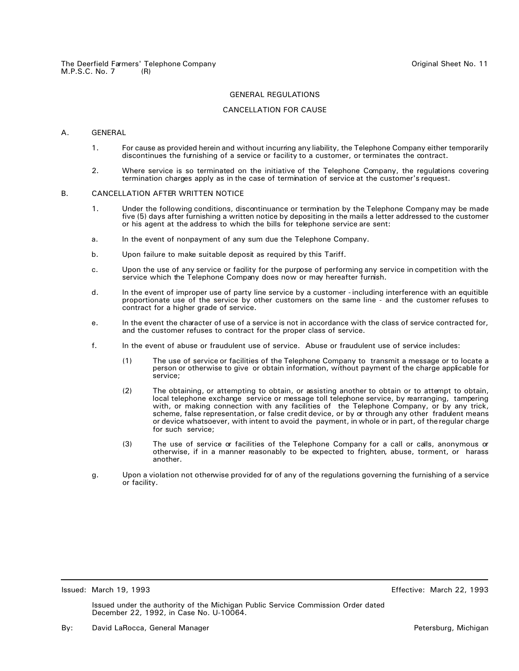## CANCELLATION FOR CAUSE

#### A. GENERAL

- 1. For cause as provided herein and without incurring any liability, the Telephone Company either temporarily discontinues the furnishing of a service or facility to a customer, or terminates the contract.
- 2. Where service is so terminated on the initiative of the Telephone Company, the regulations covering termination charges apply as in the case of termination of service at the customer's request.

## B. CANCELLATION AFTER WRITTEN NOTICE

- 1. Under the following conditions, discontinuance or termination by the Telephone Company may be made five (5) days after furnishing a written notice by depositing in the mails a letter addressed to the customer or his agent at the address to which the bills for telephone service are sent:
- a. In the event of nonpayment of any sum due the Telephone Company.
- b. Upon failure to make suitable deposit as required by this Tariff.
- c. Upon the use of any service or facility for the purpose of performing any service in competition with the service which the Telephone Company does now or may hereafter furnish.
- d. In the event of improper use of party line service by a customer including interference with an equitible proportionate use of the service by other customers on the same line - and the customer refuses to contract for a higher grade of service.
- e. In the event the character of use of a service is not in accordance with the class of service contracted for, and the customer refuses to contract for the proper class of service.
- f. In the event of abuse or fraudulent use of service. Abuse or fraudulent use of service includes:
	- (1) The use of service or facilities of the Telephone Company to transmit a message or to locate a person or otherwise to give or obtain information, without payment of the charge applicable for service;
	- (2) The obtaining, or attempting to obtain, or assisting another to obtain or to attempt to obtain, local telephone exchange service or message toll telephone service, by rearranging, tampering with, or making connection with any facilities of the Telephone Company, or by any trick, scheme, false representation, or false credit device, or by or through any other fradulent means or device whatsoever, with intent to avoid the payment, in whole or in part, of the regular charge for such service;
	- (3) The use of service or facilities of the Telephone Company for a call or calls, anonymous or otherwise, if in a manner reasonably to be expected to frighten, abuse, torment, or harass another.
- g. Upon a violation not otherwise provided for of any of the regulations governing the furnishing of a service or facility.

Issued: March 19, 1993 Effective: March 22, 1993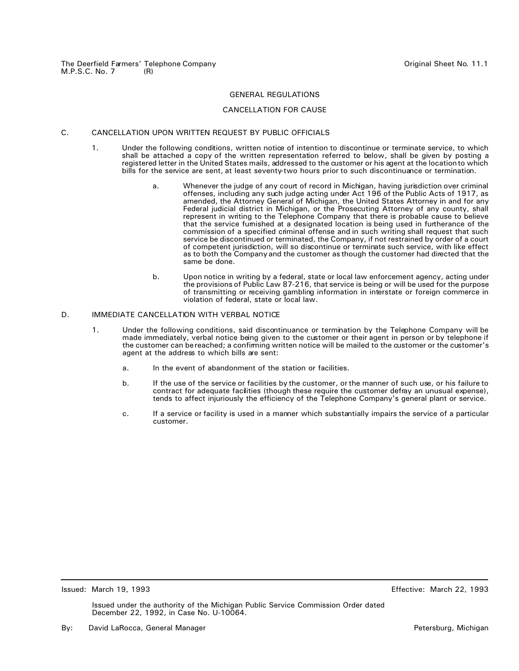#### CANCELLATION FOR CAUSE

#### C. CANCELLATION UPON WRITTEN REQUEST BY PUBLIC OFFICIALS

- 1. Under the following conditions, written notice of intention to discontinue or terminate service, to which shall be attached a copy of the written representation referred to below, shall be given by posting a registered letter in the United States mails, addressed to the customer or his agent at the location to which bills for the service are sent, at least seventy-two hours prior to such discontinuance or termination.
	- a. Whenever the judge of any court of record in Michigan, having jurisdiction over criminal offenses, including any such judge acting under Act 196 of the Public Acts of 1917, as amended, the Attorney General of Michigan, the United States Attorney in and for any Federal judicial district in Michigan, or the Prosecuting Attorney of any county, shall represent in writing to the Telephone Company that there is probable cause to believe that the service furnished at a designated location is being used in furtherance of the commission of a specified criminal offense and in such writing shall request that such service be discontinued or terminated, the Company, if not restrained by order of a court of competent jurisdiction, will so discontinue or terminate such service, with like effect as to both the Company and the customer as though the customer had directed that the same be done.
	- b. Upon notice in writing by a federal, state or local law enforcement agency, acting under the provisions of Public Law 87-216, that service is being or will be used for the purpose of transmitting or receiving gambling information in interstate or foreign commerce in violation of federal, state or local law.

#### D. IMMEDIATE CANCELLATION WITH VERBAL NOTICE

- 1. Under the following conditions, said discontinuance or termination by the Telephone Company will be made immediately, verbal notice being given to the customer or their agent in person or by telephone if the customer can be reached; a confirming written notice will be mailed to the customer or the customer's agent at the address to which bills are sent:
	- a. In the event of abandonment of the station or facilities.
	- b. If the use of the service or facilities by the customer, or the manner of such use, or his failure to contract for adequate facilities (though these require the customer defray an unusual expense), tends to affect injuriously the efficiency of the Telephone Company's general plant or service.
	- c. If a service or facility is used in a manner which substantially impairs the service of a particular customer.

Issued: March 19, 1993 Effective: March 22, 1993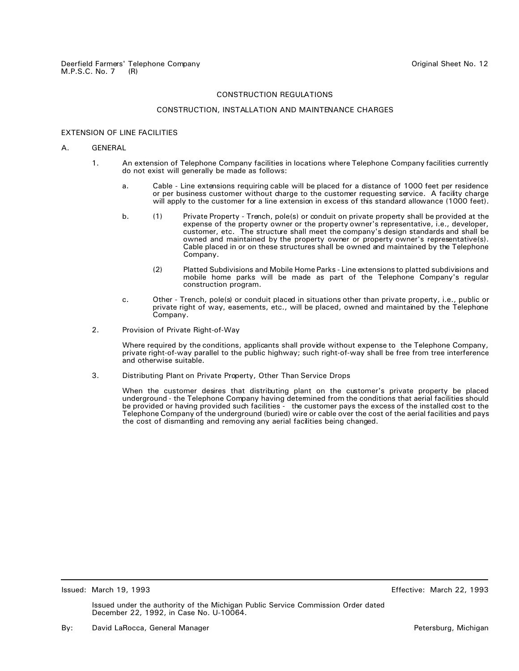#### CONSTRUCTION, INSTALLATION AND MAINTENANCE CHARGES

## EXTENSION OF LINE FACILITIES

#### A. GENERAL

- 1. An extension of Telephone Company facilities in locations where Telephone Company facilities currently do not exist will generally be made as follows:
	- a. Cable Line extensions requiring cable will be placed for a distance of 1000 feet per residence or per business customer without charge to the customer requesting service. A facility charge will apply to the customer for a line extension in excess of this standard allowance (1000 feet).
	- b. (1) Private Property Trench, pole(s) or conduit on private property shall be provided at the expense of the property owner or the property owner's representative, i.e., developer, customer, etc. The structure shall meet the company's design standards and shall be owned and maintained by the property owner or property owner's representative(s). Cable placed in or on these structures shall be owned and maintained by the Telephone Company.
		- (2) Platted Subdivisions and Mobile Home Parks Line extensions to platted subdivisions and mobile home parks will be made as part of the Telephone Company's regular construction program.
	- c. Other Trench, pole(s) or conduit placed in situations other than private property, i.e., public or private right of way, easements, etc., will be placed, owned and maintained by the Telephone Company.
- 2. Provision of Private Right-of-Way

Where required by the conditions, applicants shall provide without expense to the Telephone Company, private right-of-way parallel to the public highway; such right-of-way shall be free from tree interference and otherwise suitable.

3. Distributing Plant on Private Property, Other Than Service Drops

When the customer desires that distributing plant on the customer's private property be placed underground - the Telephone Company having determined from the conditions that aerial facilities should be provided or having provided such facilities - the customer pays the excess of the installed cost to the Telephone Company of the underground (buried) wire or cable over the cost of the aerial facilities and pays the cost of dismantling and removing any aerial facilities being changed.

Issued: March 19, 1993 Effective: March 22, 1993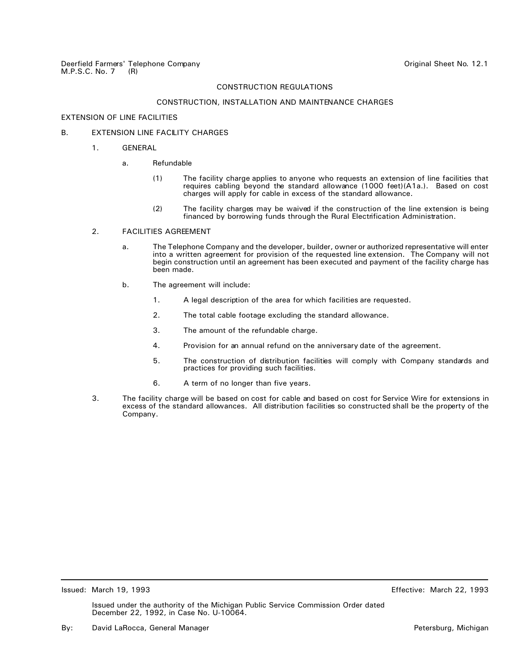## CONSTRUCTION, INSTALLATION AND MAINTENANCE CHARGES

## EXTENSION OF LINE FACILITIES

## B. **EXTENSION LINE FACILITY CHARGES**

- 1. GENERAL
	- a. Refundable
		- (1) The facility charge applies to anyone who requests an extension of line facilities that requires cabling beyond the standard allowance (1000 feet)(A1a.). Based on cost charges will apply for cable in excess of the standard allowance.
		- (2) The facility charges may be waived if the construction of the line extension is being financed by borrowing funds through the Rural Electrification Administration.

#### 2. FACILITIES AGREEMENT

- a. The Telephone Company and the developer, builder, owner or authorized representative will enter into a written agreement for provision of the requested line extension. The Company will not begin construction until an agreement has been executed and payment of the facility charge has been made.
- b. The agreement will include:
	- 1. A legal description of the area for which facilities are requested.
	- 2. The total cable footage excluding the standard allowance.
	- 3. The amount of the refundable charge.
	- 4. Provision for an annual refund on the anniversary date of the agreement.
	- 5. The construction of distribution facilities will comply with Company standards and practices for providing such facilities.
	- 6. A term of no longer than five years.
- 3. The facility charge will be based on cost for cable and based on cost for Service Wire for extensions in excess of the standard allowances. All distribution facilities so constructed shall be the property of the Company.

Issued: March 19, 1993 Effective: March 22, 1993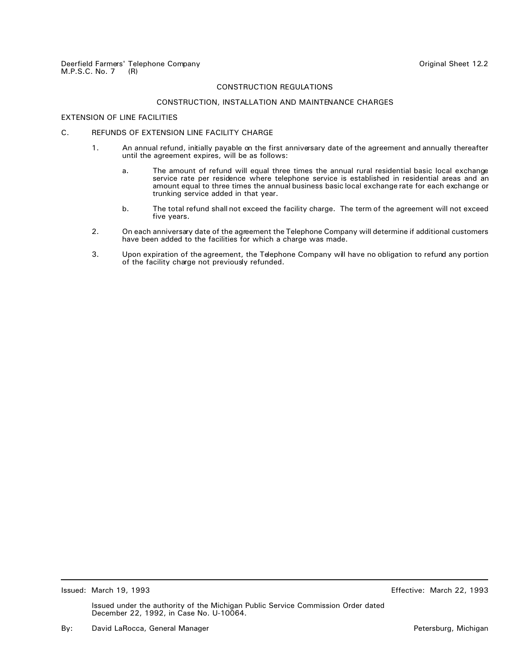## CONSTRUCTION, INSTALLATION AND MAINTENANCE CHARGES

## EXTENSION OF LINE FACILITIES

## C. REFUNDS OF EXTENSION LINE FACILITY CHARGE

- 1. An annual refund, initially payable on the first anniversary date of the agreement and annually thereafter until the agreement expires, will be as follows:
	- a. The amount of refund will equal three times the annual rural residential basic local exchange service rate per residence where telephone service is established in residential areas and an amount equal to three times the annual business basic local exchange rate for each exchange or trunking service added in that year.
	- b. The total refund shall not exceed the facility charge. The term of the agreement will not exceed five years.
- 2. On each anniversary date of the agreement the Telephone Company will determine if additional customers have been added to the facilities for which a charge was made.
- 3. Upon expiration of the agreement, the Telephone Company will have no obligation to refund any portion of the facility charge not previously refunded.

Issued: March 19, 1993 Effective: March 22, 1993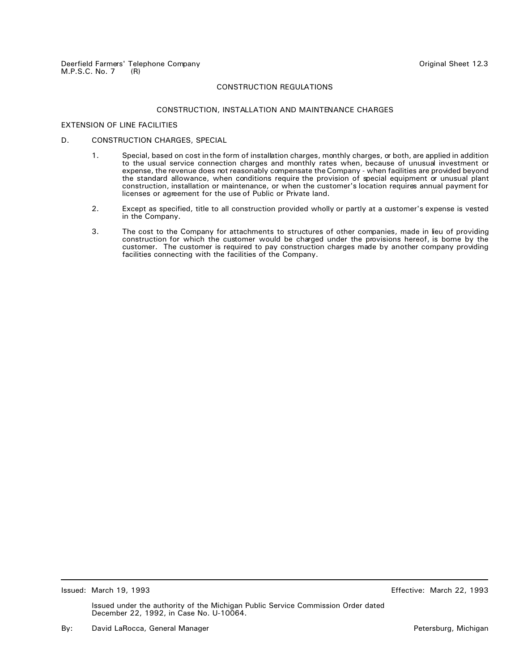## CONSTRUCTION, INSTALLATION AND MAINTENANCE CHARGES

## EXTENSION OF LINE FACILITIES

## D. CONSTRUCTION CHARGES, SPECIAL

- 1. Special, based on cost in the form of installation charges, monthly charges, or both, are applied in addition to the usual service connection charges and monthly rates when, because of unusual investment or expense, the revenue does not reasonably compensate the Company - when facilities are provided beyond the standard allowance, when conditions require the provision of special equipment or unusual plant construction, installation or maintenance, or when the customer's location requires annual payment for licenses or agreement for the use of Public or Private land.
- 2. Except as specified, title to all construction provided wholly or partly at a customer's expense is vested in the Company.
- 3. The cost to the Company for attachments to structures of other companies, made in lieu of providing construction for which the customer would be charged under the provisions hereof, is borne by the customer. The customer is required to pay construction charges made by another company providing facilities connecting with the facilities of the Company.

Issued: March 19, 1993 Effective: March 22, 1993